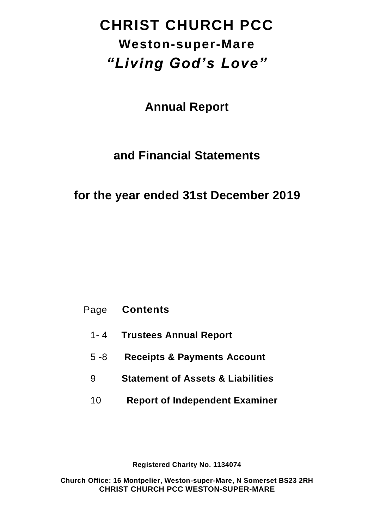# **CHRIST CHURCH PCC Weston-super-Mare** *"Living God's Love"*

**Annual Report** 

## **and Financial Statements**

## **for the year ended 31st December 2019**

- Page **Contents**
	- 1- 4 **Trustees Annual Report**
	- 5 -8 **Receipts & Payments Account**
	- 9 **Statement of Assets & Liabilities**
	- 10 **Report of Independent Examiner**

**Registered Charity No. 1134074**

**Church Office: 16 Montpelier, Weston-super-Mare, N Somerset BS23 2RH CHRIST CHURCH PCC WESTON-SUPER-MARE**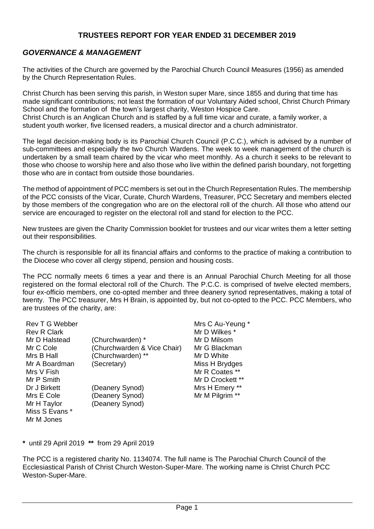#### **TRUSTEES REPORT FOR YEAR ENDED 31 DECEMBER 2019**

#### *GOVERNANCE & MANAGEMENT*

The activities of the Church are governed by the Parochial Church Council Measures (1956) as amended by the Church Representation Rules.

Christ Church has been serving this parish, in Weston super Mare, since 1855 and during that time has made significant contributions; not least the formation of our Voluntary Aided school, Christ Church Primary School and the formation of the town's largest charity, Weston Hospice Care. Christ Church is an Anglican Church and is staffed by a full time vicar and curate, a family worker, a student youth worker, five licensed readers, a musical director and a church administrator.

The legal decision-making body is its Parochial Church Council (P.C.C.), which is advised by a number of sub-committees and especially the two Church Wardens. The week to week management of the church is undertaken by a small team chaired by the vicar who meet monthly. As a church it seeks to be relevant to those who choose to worship here and also those who live within the defined parish boundary, not forgetting those who are in contact from outside those boundaries.

The method of appointment of PCC members is set out in the Church Representation Rules. The membership of the PCC consists of the Vicar, Curate, Church Wardens, Treasurer, PCC Secretary and members elected by those members of the congregation who are on the electoral roll of the church. All those who attend our service are encouraged to register on the electoral roll and stand for election to the PCC.

New trustees are given the Charity Commission booklet for trustees and our vicar writes them a letter setting out their responsibilities.

The church is responsible for all its financial affairs and conforms to the practice of making a contribution to the Diocese who cover all clergy stipend, pension and housing costs.

The PCC normally meets 6 times a year and there is an Annual Parochial Church Meeting for all those registered on the formal electoral roll of the Church. The P.C.C. is comprised of twelve elected members, four ex-officio members, one co-opted member and three deanery synod representatives, making a total of twenty. The PCC treasurer, Mrs H Brain, is appointed by, but not co-opted to the PCC. PCC Members, who are trustees of the charity, are:

| Rev T G Webber     |                             | Mrs C Au-Yeung * |
|--------------------|-----------------------------|------------------|
| <b>Rev R Clark</b> |                             | Mr D Wilkes *    |
| Mr D Halstead      | (Churchwarden) *            | Mr D Milsom      |
| Mr C Cole          | (Churchwarden & Vice Chair) | Mr G Blackman    |
| Mrs B Hall         | (Churchwarden) **           | Mr D White       |
| Mr A Boardman      | (Secretary)                 | Miss H Brydges   |
| Mrs V Fish         |                             | Mr R Coates **   |
| Mr P Smith         |                             | Mr D Crockett ** |
| Dr J Birkett       | (Deanery Synod)             | Mrs H Emery **   |
| Mrs E Cole         | (Deanery Synod)             | Mr M Pilgrim **  |
| Mr H Taylor        | (Deanery Synod)             |                  |
| Miss S Evans *     |                             |                  |
| Mr M Jones         |                             |                  |

**\*** until 29 April 2019 **\*\*** from 29 April 2019

The PCC is a registered charity No. 1134074. The full name is The Parochial Church Council of the Ecclesiastical Parish of Christ Church Weston-Super-Mare. The working name is Christ Church PCC Weston-Super-Mare.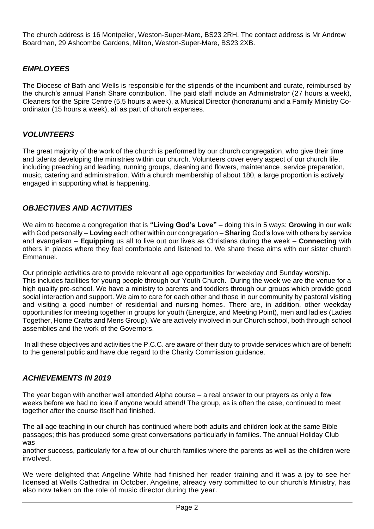The church address is 16 Montpelier, Weston-Super-Mare, BS23 2RH. The contact address is Mr Andrew Boardman, 29 Ashcombe Gardens, Milton, Weston-Super-Mare, BS23 2XB.

#### *EMPLOYEES*

The Diocese of Bath and Wells is responsible for the stipends of the incumbent and curate, reimbursed by the church's annual Parish Share contribution. The paid staff include an Administrator (27 hours a week), Cleaners for the Spire Centre (5.5 hours a week), a Musical Director (honorarium) and a Family Ministry Coordinator (15 hours a week), all as part of church expenses.

#### *VOLUNTEERS*

The great majority of the work of the church is performed by our church congregation, who give their time and talents developing the ministries within our church. Volunteers cover every aspect of our church life, including preaching and leading, running groups, cleaning and flowers, maintenance, service preparation, music, catering and administration. With a church membership of about 180, a large proportion is actively engaged in supporting what is happening.

#### *OBJECTIVES AND ACTIVITIES*

We aim to become a congregation that is **"Living God's Love"** – doing this in 5 ways: **Growing** in our walk with God personally – **Loving** each other within our congregation – **Sharing** God's love with others by service and evangelism – **Equipping** us all to live out our lives as Christians during the week – **Connecting** with others in places where they feel comfortable and listened to. We share these aims with our sister church Emmanuel.

Our principle activities are to provide relevant all age opportunities for weekday and Sunday worship. This includes facilities for young people through our Youth Church. During the week we are the venue for a high quality pre-school. We have a ministry to parents and toddlers through our groups which provide good social interaction and support. We aim to care for each other and those in our community by pastoral visiting and visiting a good number of residential and nursing homes. There are, in addition, other weekday opportunities for meeting together in groups for youth (Energize, and Meeting Point), men and ladies (Ladies Together, Home Crafts and Mens Group). We are actively involved in our Church school, both through school assemblies and the work of the Governors.

In all these objectives and activities the P.C.C. are aware of their duty to provide services which are of benefit to the general public and have due regard to the Charity Commission guidance.

#### *ACHIEVEMENTS IN 2019*

The year began with another well attended Alpha course – a real answer to our prayers as only a few weeks before we had no idea if anyone would attend! The group, as is often the case, continued to meet together after the course itself had finished.

The all age teaching in our church has continued where both adults and children look at the same Bible passages; this has produced some great conversations particularly in families. The annual Holiday Club was

another success, particularly for a few of our church families where the parents as well as the children were involved.

We were delighted that Angeline White had finished her reader training and it was a joy to see her licensed at Wells Cathedral in October. Angeline, already very committed to our church's Ministry, has also now taken on the role of music director during the year.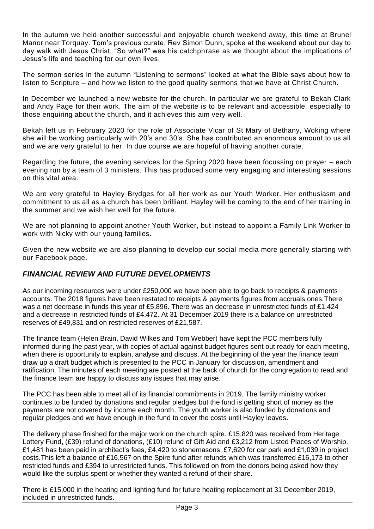In the autumn we held another successful and enjoyable church weekend away, this time at Brunel Manor near Torquay. Tom's previous curate, Rev Simon Dunn, spoke at the weekend about our day to day walk with Jesus Christ. "So what?" was his catchphrase as we thought about the implications of Jesus's life and teaching for our own lives.

The sermon series in the autumn "Listening to sermons" looked at what the Bible says about how to listen to Scripture – and how we listen to the good quality sermons that we have at Christ Church.

In December we launched a new website for the church. In particular we are grateful to Bekah Clark and Andy Page for their work. The aim of the website is to be relevant and accessible, especially to those enquiring about the church, and it achieves this aim very well.

Bekah left us in February 2020 for the role of Associate Vicar of St Mary of Bethany, Woking where she will be working particularly with 20's and 30's. She has contributed an enormous amount to us all and we are very grateful to her. In due course we are hopeful of having another curate.

Regarding the future, the evening services for the Spring 2020 have been focussing on prayer – each evening run by a team of 3 ministers. This has produced some very engaging and interesting sessions on this vital area.

We are very grateful to Hayley Brydges for all her work as our Youth Worker. Her enthusiasm and commitment to us all as a church has been brilliant. Hayley will be coming to the end of her training in the summer and we wish her well for the future.

We are not planning to appoint another Youth Worker, but instead to appoint a Family Link Worker to work with Nicky with our young families.

Given the new website we are also planning to develop our social media more generally starting with our Facebook page.

#### *FINANCIAL REVIEW AND FUTURE DEVELOPMENTS*

As our incoming resources were under £250,000 we have been able to go back to receipts & payments accounts. The 2018 figures have been restated to receipts & payments figures from accruals ones.There was a net decrease in funds this year of £5,896. There was an decrease in unrestricted funds of £1,424 and a decrease in restricted funds of £4,472. At 31 December 2019 there is a balance on unrestricted reserves of £49,831 and on restricted reserves of £21,587.

The finance team (Helen Brain, David Wilkes and Tom Webber) have kept the PCC members fully informed during the past year, with copies of actual against budget figures sent out ready for each meeting, when there is opportunity to explain, analyse and discuss. At the beginning of the year the finance team draw up a draft budget which is presented to the PCC in January for discussion, amendment and ratification. The minutes of each meeting are posted at the back of church for the congregation to read and the finance team are happy to discuss any issues that may arise.

The PCC has been able to meet all of its financial commitments in 2019. The family ministry worker continues to be funded by donations and regular pledges but the fund is getting short of money as the payments are not covered by income each month. The youth worker is also funded by donations and regular pledges and we have enough in the fund to cover the costs until Hayley leaves.

The delivery phase finished for the major work on the church spire. £15,820 was received from Heritage Lottery Fund, (£39) refund of donations, (£10) refund of Gift Aid and £3,212 from Listed Places of Worship. £1,481 has been paid in architect's fees, £4,420 to stonemasons, £7,620 for car park and £1,039 in project costs.This left a balance of £16,567 on the Spire fund after refunds which was transferred £16,173 to other restricted funds and £394 to unrestricted funds. This followed on from the donors being asked how they would like the surplus spent or whether they wanted a refund of their share.

There is £15,000 in the heating and lighting fund for future heating replacement at 31 December 2019, included in unrestricted funds.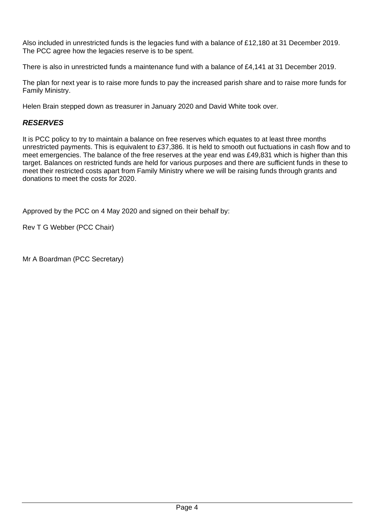Also included in unrestricted funds is the legacies fund with a balance of £12,180 at 31 December 2019. The PCC agree how the legacies reserve is to be spent.

There is also in unrestricted funds a maintenance fund with a balance of £4,141 at 31 December 2019.

The plan for next year is to raise more funds to pay the increased parish share and to raise more funds for Family Ministry.

Helen Brain stepped down as treasurer in January 2020 and David White took over.

### *RESERVES*

It is PCC policy to try to maintain a balance on free reserves which equates to at least three months unrestricted payments. This is equivalent to £37,386. It is held to smooth out fuctuations in cash flow and to meet emergencies. The balance of the free reserves at the year end was £49,831 which is higher than this target. Balances on restricted funds are held for various purposes and there are sufficient funds in these to meet their restricted costs apart from Family Ministry where we will be raising funds through grants and donations to meet the costs for 2020.

Approved by the PCC on 4 May 2020 and signed on their behalf by:

Rev T G Webber (PCC Chair)

Mr A Boardman (PCC Secretary)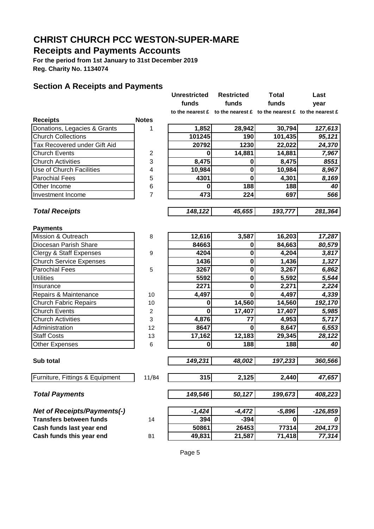## **Receipts and Payments Accounts**

**For the period from 1st January to 31st December 2019 Reg. Charity No. 1134074**

#### **Section A Receipts and Payments**

|                                    |                | <b>Unrestricted</b> | <b>Restricted</b> | <b>Total</b>                                                                                                | Last       |
|------------------------------------|----------------|---------------------|-------------------|-------------------------------------------------------------------------------------------------------------|------------|
|                                    |                | funds               | funds             | funds                                                                                                       | year       |
|                                    |                |                     |                   | to the nearest $\mathbf f$ to the nearest $\mathbf f$ to the nearest $\mathbf f$ to the nearest $\mathbf f$ |            |
| <b>Receipts</b>                    | <b>Notes</b>   |                     |                   |                                                                                                             |            |
| Donations, Legacies & Grants       | 1              | 1,852               | 28,942            | 30,794                                                                                                      | 127,613    |
| <b>Church Collections</b>          |                | 101245              | 190               | 101,435                                                                                                     | 95,121     |
| Tax Recovered under Gift Aid       |                | 20792               | 1230              | 22,022                                                                                                      | 24,370     |
| <b>Church Events</b>               | 2              | 0                   | 14,881            | 14,881                                                                                                      | 7,967      |
| <b>Church Activities</b>           | 3              | 8,475               | $\bf{0}$          | 8,475                                                                                                       | 8551       |
| Use of Church Facilities           | 4              | 10,984              | $\mathbf 0$       | 10,984                                                                                                      | 8,967      |
| <b>Parochial Fees</b>              | 5              | 4301                | $\mathbf 0$       | 4,301                                                                                                       | 8,169      |
| Other Income                       | 6              | 0                   | 188               | 188                                                                                                         | 40         |
| Investment Income                  | $\overline{7}$ | 473                 | 224               | 697                                                                                                         | 566        |
|                                    |                |                     |                   |                                                                                                             |            |
| <b>Total Receipts</b>              |                | 148,122             | 45,655            | 193,777                                                                                                     | 281,364    |
| <b>Payments</b>                    |                |                     |                   |                                                                                                             |            |
| Mission & Outreach                 | 8              | 12,616              | 3,587             | 16,203                                                                                                      | 17,287     |
| Diocesan Parish Share              |                | 84663               | 0                 | 84,663                                                                                                      | 80,579     |
| <b>Clergy &amp; Staff Expenses</b> | 9              | 4204                | 0                 | 4,204                                                                                                       | 3,817      |
| <b>Church Service Expenses</b>     |                | 1436                | $\mathbf 0$       | 1,436                                                                                                       | 1,327      |
| <b>Parochial Fees</b>              | 5              | 3267                | $\bf{0}$          | 3,267                                                                                                       | 6,862      |
| <b>Utilities</b>                   |                | 5592                | $\mathbf 0$       | 5,592                                                                                                       | 5,544      |
| Insurance                          |                | 2271                | $\mathbf 0$       | 2,271                                                                                                       | 2,224      |
| Repairs & Maintenance              | 10             | 4,497               | $\bf{0}$          | 4,497                                                                                                       | 4,339      |
| <b>Church Fabric Repairs</b>       | 10             | $\bf{0}$            | 14,560            | 14,560                                                                                                      | 192,170    |
| <b>Church Events</b>               | $\overline{2}$ | $\bf{0}$            | 17,407            | 17,407                                                                                                      | 5,985      |
| <b>Church Activities</b>           | 3              | 4,876               | 77                | 4,953                                                                                                       | 5,717      |
| Administration                     | 12             | 8647                | $\bf{0}$          | 8,647                                                                                                       | 6,553      |
| <b>Staff Costs</b>                 | 13             | 17,162              | 12,183            | 29,345                                                                                                      | 28,122     |
| <b>Other Expenses</b>              | 6              | 0                   | 188               | 188                                                                                                         | 40         |
| Sub total                          |                | 149,231             | 48,002            | 197,233                                                                                                     | 360,566    |
|                                    |                |                     |                   |                                                                                                             |            |
| Furniture, Fittings & Equipment    | 11/B4          | 315                 | 2,125             | 2,440                                                                                                       | 47,657     |
| <b>Total Payments</b>              |                | 149,546             | 50,127            | 199,673                                                                                                     | 408,223    |
| <b>Net of Receipts/Payments(-)</b> |                | $-1,424$            | $-4,472$          | $-5,896$                                                                                                    | $-126,859$ |
| <b>Transfers between funds</b>     | 14             | 394                 | $-394$            | 0                                                                                                           | 0          |
| Cash funds last year end           |                | 50861               | 26453             | 77314                                                                                                       | 204,173    |
| Cash funds this year end           | <b>B1</b>      | 49,831              | 21,587            | 71,418                                                                                                      | 77,314     |
|                                    |                |                     |                   |                                                                                                             |            |

Page 5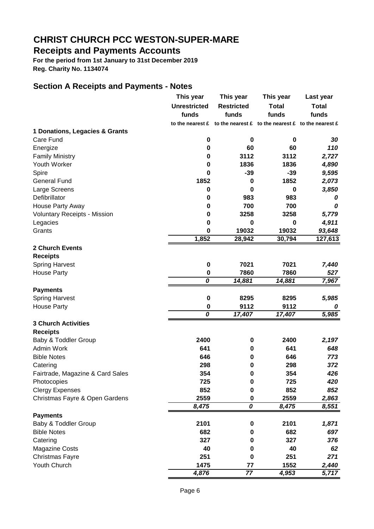### **Receipts and Payments Accounts**

**For the period from 1st January to 31st December 2019 Reg. Charity No. 1134074**

#### **Section A Receipts and Payments - Notes**

|                                     | This year           | This year                                                                                                   | This year    | Last year    |
|-------------------------------------|---------------------|-------------------------------------------------------------------------------------------------------------|--------------|--------------|
|                                     | <b>Unrestricted</b> | <b>Restricted</b>                                                                                           | <b>Total</b> | <b>Total</b> |
|                                     | funds               | funds                                                                                                       | funds        | funds        |
|                                     |                     | to the nearest $\mathbf f$ to the nearest $\mathbf f$ to the nearest $\mathbf f$ to the nearest $\mathbf f$ |              |              |
| 1 Donations, Legacies & Grants      |                     |                                                                                                             |              |              |
| Care Fund                           | 0                   | $\bf{0}$                                                                                                    | 0            | 30           |
| Energize                            | 0                   | 60                                                                                                          | 60           | 110          |
| <b>Family Ministry</b>              | 0                   | 3112                                                                                                        | 3112         | 2,727        |
| Youth Worker                        | 0                   | 1836                                                                                                        | 1836         | 4,890        |
| Spire                               | $\bf{0}$            | $-39$                                                                                                       | $-39$        | 9,595        |
| <b>General Fund</b>                 | 1852                | 0                                                                                                           | 1852         | 2,073        |
| Large Screens                       | $\bf{0}$            | $\bf{0}$                                                                                                    | 0            | 3,850        |
| Defibrillator                       | 0                   | 983                                                                                                         | 983          | 0            |
| House Party Away                    | 0                   | 700                                                                                                         | 700          | 0            |
| <b>Voluntary Receipts - Mission</b> | $\bf{0}$            | 3258                                                                                                        | 3258         | 5,779        |
| Legacies                            | 0                   | 0                                                                                                           | 0            | 4,911        |
| Grants                              | $\bf{0}$            | 19032                                                                                                       | 19032        | 93,648       |
|                                     | 1,852               | 28,942                                                                                                      | 30,794       | 127,613      |
| <b>2 Church Events</b>              |                     |                                                                                                             |              |              |
| <b>Receipts</b>                     |                     |                                                                                                             |              |              |
| <b>Spring Harvest</b>               | $\bf{0}$            | 7021                                                                                                        | 7021         | 7,440        |
| <b>House Party</b>                  | 0                   | 7860                                                                                                        | 7860         | 527          |
|                                     | 0                   | 14,881                                                                                                      | 14,881       | 7,967        |
| <b>Payments</b>                     |                     |                                                                                                             |              |              |
| <b>Spring Harvest</b>               | $\bf{0}$            | 8295                                                                                                        | 8295         | 5,985        |
| <b>House Party</b>                  | $\bf{0}$            | 9112                                                                                                        | 9112         | 0            |
|                                     | 0                   | 17,407                                                                                                      | 17,407       | 5,985        |
| <b>3 Church Activities</b>          |                     |                                                                                                             |              |              |
| <b>Receipts</b>                     |                     |                                                                                                             |              |              |
| Baby & Toddler Group                | 2400                | 0                                                                                                           | 2400         | 2,197        |
| Admin Work                          | 641                 | $\mathbf 0$                                                                                                 | 641          | 648          |
| <b>Bible Notes</b>                  | 646                 | 0                                                                                                           | 646          | 773          |
| Catering                            | 298                 | 0                                                                                                           | 298          | 372          |
| Fairtrade, Magazine & Card Sales    | 354                 | 0                                                                                                           | 354          | 426          |
| Photocopies                         | 725                 | $\bf{0}$                                                                                                    | 725          | 420          |
| <b>Clergy Expenses</b>              | 852                 | $\mathbf 0$                                                                                                 | 852          | 852          |
| Christmas Fayre & Open Gardens      | 2559                | 0                                                                                                           | 2559         | 2,863        |
|                                     | 8,475               | $\overline{o}$                                                                                              | 8,475        | 8,551        |
| <b>Payments</b>                     |                     |                                                                                                             |              |              |
| Baby & Toddler Group                | 2101                | 0                                                                                                           | 2101         | 1,871        |
| <b>Bible Notes</b>                  | 682                 | 0                                                                                                           | 682          | 697          |
| Catering                            | 327                 | 0                                                                                                           | 327          | 376          |
| Magazine Costs                      | 40                  | 0                                                                                                           | 40           | 62           |
| <b>Christmas Fayre</b>              | 251                 | 0                                                                                                           | 251          | 271          |
| Youth Church                        | 1475                | 77                                                                                                          | 1552         | 2,440        |
|                                     | 4,876               | $\overline{77}$                                                                                             | 4,953        | 5,717        |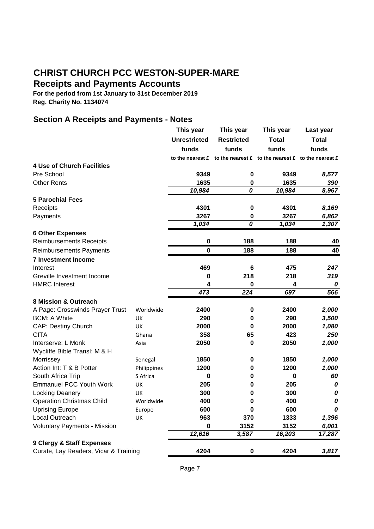### **Receipts and Payments Accounts**

**For the period from 1st January to 31st December 2019 Reg. Charity No. 1134074**

### **Section A Receipts and Payments - Notes**

|                                       |             | This year           | This year                                                                   | This year    | Last year    |
|---------------------------------------|-------------|---------------------|-----------------------------------------------------------------------------|--------------|--------------|
|                                       |             | <b>Unrestricted</b> | <b>Restricted</b>                                                           | <b>Total</b> | <b>Total</b> |
|                                       |             | funds               | funds                                                                       | funds        | funds        |
|                                       |             |                     | to the nearest $f$ to the nearest $f$ to the nearest $f$ to the nearest $f$ |              |              |
| <b>4 Use of Church Facilities</b>     |             |                     |                                                                             |              |              |
| Pre School                            |             | 9349                | $\pmb{0}$                                                                   | 9349         | 8,577        |
| <b>Other Rents</b>                    |             | 1635                | 0                                                                           | 1635         | 390          |
|                                       |             | 10,984              | $\overline{o}$                                                              | 10,984       | 8,967        |
| <b>5 Parochial Fees</b>               |             |                     |                                                                             |              |              |
| Receipts                              |             | 4301                | $\bf{0}$                                                                    | 4301         | 8,169        |
| Payments                              |             | 3267                | 0                                                                           | 3267         | 6,862        |
|                                       |             | 1,034               | 0                                                                           | 1,034        | 1,307        |
| <b>6 Other Expenses</b>               |             |                     |                                                                             |              |              |
| <b>Reimbursements Receipts</b>        |             | $\pmb{0}$           | 188                                                                         | 188          | 40           |
| Reimbursements Payments               |             | 0                   | 188                                                                         | 188          | 40           |
| <b>7 Investment Income</b>            |             |                     |                                                                             |              |              |
| Interest                              |             | 469                 | 6                                                                           | 475          | 247          |
| Greville Investment Income            |             | 0                   | 218                                                                         | 218          | 319          |
| <b>HMRC</b> Interest                  |             | 4                   | 0                                                                           | 4            | 0            |
|                                       |             | 473                 | $\overline{224}$                                                            | 697          | 566          |
| <b>8 Mission &amp; Outreach</b>       |             |                     |                                                                             |              |              |
| A Page: Crosswinds Prayer Trust       | Worldwide   | 2400                | $\pmb{0}$                                                                   | 2400         | 2,000        |
| <b>BCM: A White</b>                   | UK          | 290                 | 0                                                                           | 290          | 3,500        |
| <b>CAP: Destiny Church</b>            | UK          | 2000                | 0                                                                           | 2000         | 1,080        |
| <b>CITA</b>                           | Ghana       | 358                 | 65                                                                          | 423          | 250          |
| Interserve: L Monk                    | Asia        | 2050                | 0                                                                           | 2050         | 1,000        |
| Wycliffe Bible Transl: M & H          |             |                     |                                                                             |              |              |
| Morrissey                             | Senegal     | 1850                | 0                                                                           | 1850         | 1,000        |
| Action Int: T & B Potter              | Philippines | 1200                | 0                                                                           | 1200         | 1,000        |
| South Africa Trip                     | S Africa    | 0                   | 0                                                                           | $\bf{0}$     | 60           |
| <b>Emmanuel PCC Youth Work</b>        | UK          | 205                 | $\bf{0}$                                                                    | 205          | 0            |
| Locking Deanery                       | UK          | 300                 | 0                                                                           | 300          | 0            |
| <b>Operation Christmas Child</b>      | Worldwide   | 400                 | 0                                                                           | 400          | 0            |
| <b>Uprising Europe</b>                | Europe      | 600                 | 0                                                                           | 600          | 0            |
| Local Outreach                        | UK          | 963                 | 370                                                                         | 1333         | 1,396        |
| <b>Voluntary Payments - Mission</b>   |             | 0                   | 3152                                                                        | 3152         | 6,001        |
|                                       |             | 12,616              | 3,587                                                                       | 16,203       | 17,287       |
| 9 Clergy & Staff Expenses             |             |                     |                                                                             |              |              |
| Curate, Lay Readers, Vicar & Training |             | 4204                | 0                                                                           | 4204         | 3,817        |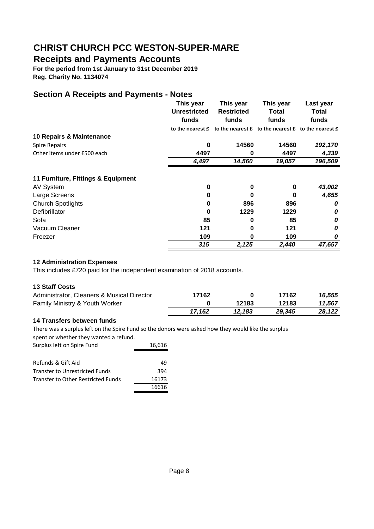### **Receipts and Payments Accounts**

**For the period from 1st January to 31st December 2019 Reg. Charity No. 1134074**

### **Section A Receipts and Payments - Notes**

|                                    | This year           | This year                                                                                           | This year | Last year |
|------------------------------------|---------------------|-----------------------------------------------------------------------------------------------------|-----------|-----------|
|                                    | <b>Unrestricted</b> | <b>Restricted</b>                                                                                   | Total     | Total     |
|                                    | funds               | funds                                                                                               | funds     | funds     |
|                                    |                     | to the nearest $\hat{E}$ to the nearest $\hat{E}$ to the nearest $\hat{E}$ to the nearest $\hat{E}$ |           |           |
| 10 Repairs & Maintenance           |                     |                                                                                                     |           |           |
| <b>Spire Repairs</b>               | 0                   | 14560                                                                                               | 14560     | 192,170   |
| Other items under £500 each        | 4497                | 0                                                                                                   | 4497      | 4,339     |
|                                    | 4,497               | 14,560                                                                                              | 19,057    | 196,509   |
| 11 Furniture, Fittings & Equipment |                     |                                                                                                     |           |           |
| <b>AV System</b>                   | 0                   | 0                                                                                                   | 0         | 43,002    |
| Large Screens                      | 0                   | O                                                                                                   | 0         | 4,655     |
| <b>Church Spotlights</b>           | 0                   | 896                                                                                                 | 896       | 0         |
| Defibrillator                      | 0                   | 1229                                                                                                | 1229      | 0         |
| Sofa                               | 85                  | 0                                                                                                   | 85        | 0         |
| Vacuum Cleaner                     | 121                 | 0                                                                                                   | 121       | 0         |
| Freezer                            | 109                 | 0                                                                                                   | 109       | 0         |
|                                    | 315                 | 2,125                                                                                               | 2,440     | 47,657    |

#### **12 Administration Expenses**

This includes £720 paid for the independent examination of 2018 accounts.

#### **13 Staff Costs**

| Administrator, Cleaners & Musical Director | 17162  |        | 17162  | 16.555 |
|--------------------------------------------|--------|--------|--------|--------|
| Family Ministry & Youth Worker             |        | 12183  | 12183  | 11.567 |
|                                            | 17.162 | 12.183 | 29,345 | 28.122 |

#### **14 Transfers between funds**

There was a surplus left on the Spire Fund so the donors were asked how they would like the surplus

spent or whether they wanted a refund. Surplus left on Spire Fund 16,616 Refunds & Gift Aid 49 Transfer to Unrestricted Funds 394 Transfer to Other Restricted Funds 16173 16616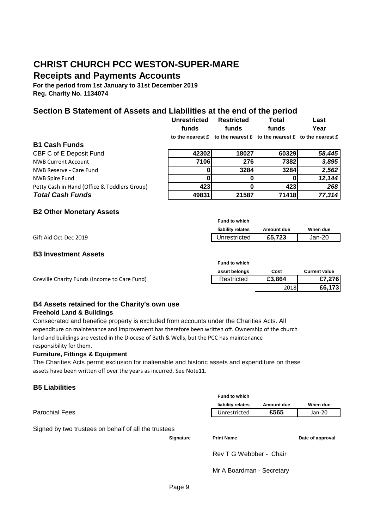## **CHRIST CHURCH PCC WESTON-SUPER-MARE Receipts and Payments Accounts**

**For the period from 1st January to 31st December 2019 Reg. Charity No. 1134074**

#### **Section B Statement of Assets and Liabilities at the end of the period**

|                                              | <b>Unrestricted</b><br>funds | <b>Restricted</b><br>funds                                                                                                              | <b>Total</b><br>funds | Last<br>Year |
|----------------------------------------------|------------------------------|-----------------------------------------------------------------------------------------------------------------------------------------|-----------------------|--------------|
|                                              |                              | to the nearest $\mathbf{\pounds}$ to the nearest $\mathbf{\pounds}$ to the nearest $\mathbf{\pounds}$ to the nearest $\mathbf{\pounds}$ |                       |              |
| <b>B1 Cash Funds</b>                         |                              |                                                                                                                                         |                       |              |
| CBF C of E Deposit Fund                      | 42302                        | 18027                                                                                                                                   | 60329                 | 58,445       |
| <b>NWB Current Account</b>                   | 7106                         | 276                                                                                                                                     | 7382                  | 3,895        |
| NWB Reserve - Care Fund                      |                              | 3284                                                                                                                                    | 3284                  | 2,562        |
| <b>NWB Spire Fund</b>                        |                              |                                                                                                                                         |                       | 12,144       |
| Petty Cash in Hand (Office & Toddlers Group) | 423                          |                                                                                                                                         | 423                   | 268          |
| <b>Total Cash Funds</b>                      | 49831                        | 21587                                                                                                                                   | 71418                 | 77,314       |

#### **B2 Other Monetary Assets**

|                       | <b>Fund to which</b> |            |          |
|-----------------------|----------------------|------------|----------|
|                       | liability relates    | Amount due | When due |
| Gift Aid Oct-Dec 2019 | Unrestricted         | £5.723     | Jan-20   |

#### **B3 Investment Assets**

|                                              | <b>FUND TO WHICH</b> |        |                      |
|----------------------------------------------|----------------------|--------|----------------------|
|                                              | asset belongs        | Cost   | <b>Current value</b> |
| Greville Charity Funds (Income to Care Fund) | Restricted           | £3.864 | £7,276               |
|                                              |                      | 2018   | £6,173               |

**Fund to which**

#### **B4 Assets retained for the Charity's own use Freehold Land & Buildings**

Consecrated and benefice property is excluded from accounts under the Charities Acts. All expenditure on maintenance and improvement has therefore been written off. Ownership of the church land and buildings are vested in the Diocese of Bath & Wells, but the PCC has maintenance responsibility for them.

#### **Furniture, Fittings & Equipment**

The Charities Acts permit exclusion for inalienable and historic assets and expenditure on these assets have been written off over the years as incurred. See Note11.

#### **B5 Liabilities**

|                                                      | <b>Fund to which</b> |                         |            |                  |
|------------------------------------------------------|----------------------|-------------------------|------------|------------------|
|                                                      |                      | liability relates       | Amount due | When due         |
| <b>Parochial Fees</b>                                |                      | Unrestricted            | £565       | Jan-20           |
| Signed by two trustees on behalf of all the trustees |                      |                         |            |                  |
|                                                      | <b>Signature</b>     | <b>Print Name</b>       |            | Date of approval |
|                                                      |                      | Rev T G Webbber - Chair |            |                  |

Mr A Boardman - Secretary